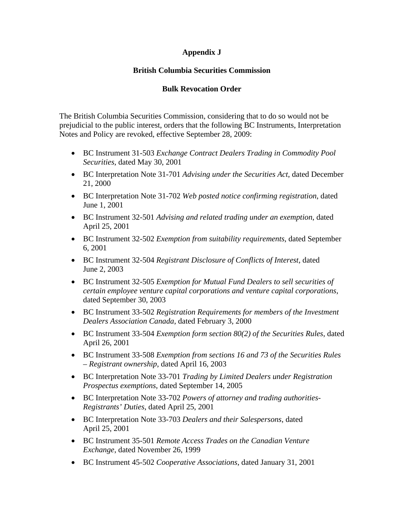## **Appendix J**

## **British Columbia Securities Commission**

## **Bulk Revocation Order**

The British Columbia Securities Commission, considering that to do so would not be prejudicial to the public interest, orders that the following BC Instruments, Interpretation Notes and Policy are revoked, effective September 28, 2009:

- BC Instrument 31-503 *Exchange Contract Dealers Trading in Commodity Pool Securities*, dated May 30, 2001
- BC Interpretation Note 31-701 *Advising under the Securities Act*, dated December 21, 2000
- BC Interpretation Note 31-702 *Web posted notice confirming registration*, dated June 1, 2001
- BC Instrument 32-501 *Advising and related trading under an exemption*, dated April 25, 2001
- BC Instrument 32-502 *Exemption from suitability requirements*, dated September 6, 2001
- BC Instrument 32-504 *Registrant Disclosure of Conflicts of Interest*, dated June 2, 2003
- BC Instrument 32-505 *Exemption for Mutual Fund Dealers to sell securities of certain employee venture capital corporations and venture capital corporations*, dated September 30, 2003
- BC Instrument 33-502 *Registration Requirements for members of the Investment Dealers Association Canada*, dated February 3, 2000
- BC Instrument 33-504 *Exemption form section 80(2) of the Securities Rules*, dated April 26, 2001
- BC Instrument 33-508 *Exemption from sections 16 and 73 of the Securities Rules – Registrant ownership*, dated April 16, 2003
- BC Interpretation Note 33-701 *Trading by Limited Dealers under Registration Prospectus exemptions*, dated September 14, 2005
- BC Interpretation Note 33-702 *Powers of attorney and trading authorities-Registrants' Duties*, dated April 25, 2001
- BC Interpretation Note 33-703 *Dealers and their Salespersons*, dated April 25, 2001
- BC Instrument 35-501 *Remote Access Trades on the Canadian Venture Exchange*, dated November 26, 1999
- BC Instrument 45-502 *Cooperative Associations*, dated January 31, 2001